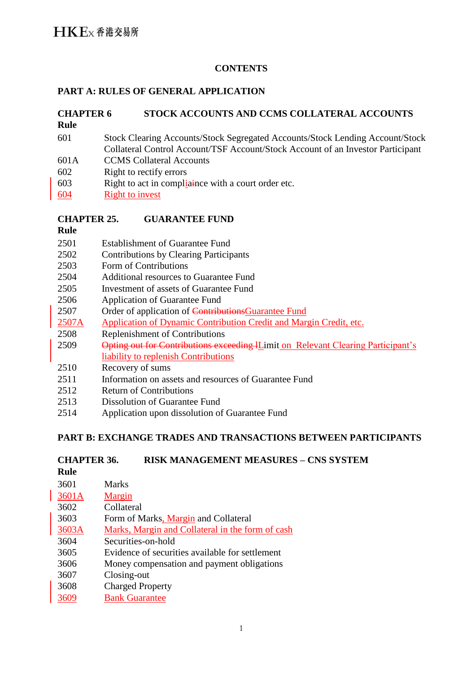#### **CONTENTS**

### **PART A: RULES OF GENERAL APPLICATION**

| <b>CHAPTER 6</b> | STOCK ACCOUNTS AND CCMS COLLATERAL ACCOUNTS                                     |
|------------------|---------------------------------------------------------------------------------|
| <b>Rule</b>      |                                                                                 |
| 601              | Stock Clearing Accounts/Stock Segregated Accounts/Stock Lending Account/Stock   |
|                  | Collateral Control Account/TSF Account/Stock Account of an Investor Participant |
| 601A             | <b>CCMS</b> Collateral Accounts                                                 |
| 602              | Right to rectify errors                                                         |
| 603              | Right to act in compliance with a court order etc.                              |
| 604              | <b>Right to invest</b>                                                          |

#### **CHAPTER 25. GUARANTEE FUND**

**Rule**

- 2501 Establishment of Guarantee Fund
- 2502 Contributions by Clearing Participants
- 2503 Form of Contributions
- 2504 Additional resources to Guarantee Fund
- 2505 Investment of assets of Guarantee Fund
- 2506 Application of Guarantee Fund
- 2507 Order of application of ContributionsGuarantee Fund
- 2507A Application of Dynamic Contribution Credit and Margin Credit, etc.
- 2508 Replenishment of Contributions
- 2509 Opting out for Contributions exceeding lLimit on Relevant Clearing Participant's liability to replenish Contributions
- 2510 Recovery of sums
- 2511 Information on assets and resources of Guarantee Fund
- 2512 Return of Contributions
- 2513 Dissolution of Guarantee Fund
- 2514 Application upon dissolution of Guarantee Fund

### **PART B: EXCHANGE TRADES AND TRANSACTIONS BETWEEN PARTICIPANTS**

# **CHAPTER 36. RISK MANAGEMENT MEASURES – CNS SYSTEM**

**Rule**

| 3601  | <b>Marks</b>                                     |
|-------|--------------------------------------------------|
| 3601A | Margin                                           |
| 3602  | Collateral                                       |
| 3603  | Form of Marks, Margin and Collateral             |
| 3603A | Marks, Margin and Collateral in the form of cash |
| 3604  | Securities-on-hold                               |
| 3605  | Evidence of securities available for settlement  |
| 3606  | Money compensation and payment obligations       |
| 3607  | Closing-out                                      |
| 3608  | <b>Charged Property</b>                          |
| 3609  | <b>Bank Guarantee</b>                            |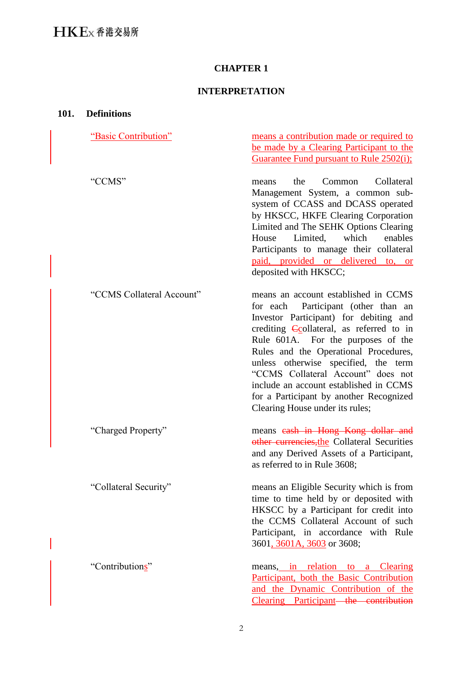# **CHAPTER 1**

# **INTERPRETATION**

| 101. | <b>Definitions</b>        |                                                                                                                                                                                                                                                                                                                                                                                                                                                               |  |  |
|------|---------------------------|---------------------------------------------------------------------------------------------------------------------------------------------------------------------------------------------------------------------------------------------------------------------------------------------------------------------------------------------------------------------------------------------------------------------------------------------------------------|--|--|
|      | "Basic Contribution"      | means a contribution made or required to<br>be made by a Clearing Participant to the<br>Guarantee Fund pursuant to Rule 2502(i);                                                                                                                                                                                                                                                                                                                              |  |  |
|      | "CCMS"                    | Collateral<br>the<br>Common<br>means<br>Management System, a common sub-<br>system of CCASS and DCASS operated<br>by HKSCC, HKFE Clearing Corporation<br>Limited and The SEHK Options Clearing<br>Limited,<br>which<br>enables<br>House<br>Participants to manage their collateral<br>paid, provided or delivered to, or<br>deposited with HKSCC;                                                                                                             |  |  |
|      | "CCMS Collateral Account" | means an account established in CCMS<br>for each Participant (other than an<br>Investor Participant) for debiting and<br>crediting <b>Collateral</b> , as referred to in<br>Rule 601A. For the purposes of the<br>Rules and the Operational Procedures,<br>unless otherwise specified, the term<br>"CCMS Collateral Account" does not<br>include an account established in CCMS<br>for a Participant by another Recognized<br>Clearing House under its rules; |  |  |
|      | "Charged Property"        | means eash in Hong Kong dollar and<br>other currencies, the Collateral Securities<br>and any Derived Assets of a Participant,<br>as referred to in Rule 3608;                                                                                                                                                                                                                                                                                                 |  |  |
|      | "Collateral Security"     | means an Eligible Security which is from<br>time to time held by or deposited with<br>HKSCC by a Participant for credit into<br>the CCMS Collateral Account of such<br>Participant, in accordance with Rule<br>3601, 3601A, 3603 or 3608;                                                                                                                                                                                                                     |  |  |
|      | "Contributions"           | means, in relation to a Clearing<br>Participant, both the Basic Contribution<br>and the Dynamic Contribution of the<br>Clearing Participant—the contribution                                                                                                                                                                                                                                                                                                  |  |  |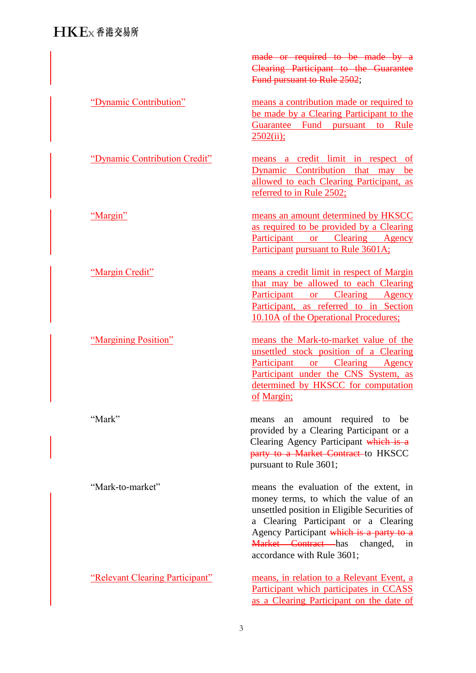# $H$ K $F$ <sub>x</sub> 香港交易所

"Mark-to-market"

"Relevant Clearing Participant"

made or required to be made by a Clearing Participant to the Guarantee Fund pursuant to Rule 2502;

"Dynamic Contribution" means a contribution made or required to be made by a Clearing Participant to the Guarantee Fund pursuant to Rule  $2502(ii)$ ;

"Dynamic Contribution Credit" means a credit limit in respect of Dynamic Contribution that may be allowed to each Clearing Participant, as referred to in Rule 2502;

"Margin" means an amount determined by HKSCC as required to be provided by a Clearing Participant or Clearing Agency Participant pursuant to Rule 3601A;

"Margin Credit" means a credit limit in respect of Margin that may be allowed to each Clearing Participant or Clearing Agency Participant, as referred to in Section 10.10A of the Operational Procedures;

"Margining Position" means the Mark-to-market value of the unsettled stock position of a Clearing Participant or Clearing Agency Participant under the CNS System, as determined by HKSCC for computation of Margin;

"Mark" means an amount required to be provided by a Clearing Participant or a Clearing Agency Participant which is a party to a Market Contract to HKSCC pursuant to Rule 3601;

> means the evaluation of the extent, in money terms, to which the value of an unsettled position in Eligible Securities of a Clearing Participant or a Clearing Agency Participant which is a party to a Market Contract has changed, in accordance with Rule 3601;

> means, in relation to a Relevant Event, a Participant which participates in CCASS as a Clearing Participant on the date of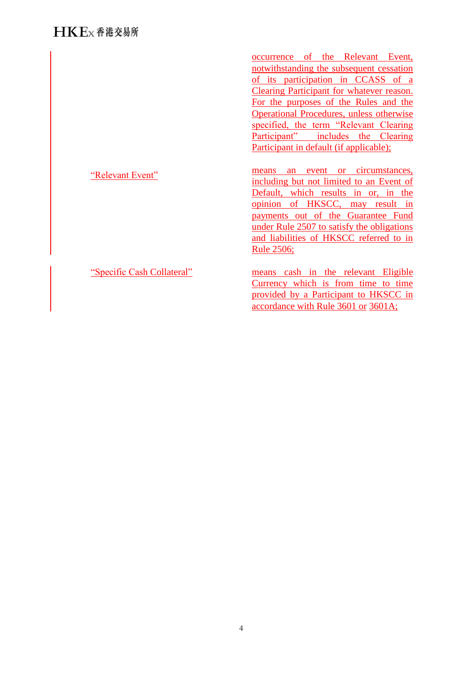"Relevant Event" occurrence of the Relevant Event, notwithstanding the subsequent cessation of its participation in CCASS of a Clearing Participant for whatever reason. For the purposes of the Rules and the Operational Procedures, unless otherwise specified, the term "Relevant Clearing Participant" includes the Clearing Participant in default (if applicable); means an event or circumstances, including but not limited to an Event of Default, which results in or, in the opinion of HKSCC, may result in payments out of the Guarantee Fund under Rule 2507 to satisfy the obligations and liabilities of HKSCC referred to in Rule 2506; "Specific Cash Collateral" means cash in the relevant Eligible Currency which is from time to time provided by a Participant to HKSCC in

accordance with Rule 3601 or 3601A;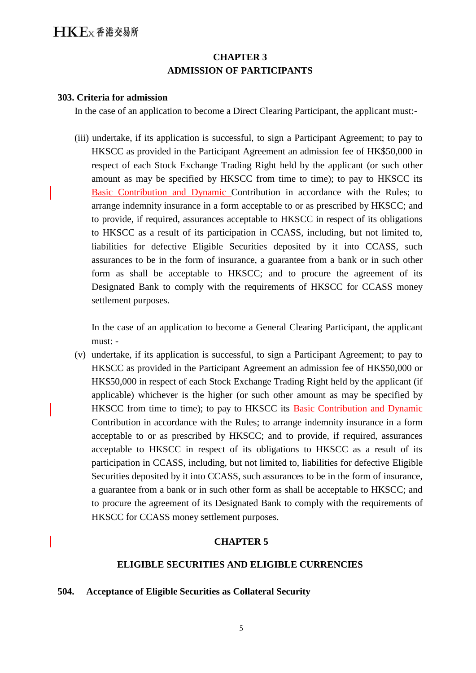# **CHAPTER 3 ADMISSION OF PARTICIPANTS**

#### **303. Criteria for admission**

In the case of an application to become a Direct Clearing Participant, the applicant must:-

(iii) undertake, if its application is successful, to sign a Participant Agreement; to pay to HKSCC as provided in the Participant Agreement an admission fee of HK\$50,000 in respect of each Stock Exchange Trading Right held by the applicant (or such other amount as may be specified by HKSCC from time to time); to pay to HKSCC its Basic Contribution and Dynamic Contribution in accordance with the Rules; to arrange indemnity insurance in a form acceptable to or as prescribed by HKSCC; and to provide, if required, assurances acceptable to HKSCC in respect of its obligations to HKSCC as a result of its participation in CCASS, including, but not limited to, liabilities for defective Eligible Securities deposited by it into CCASS, such assurances to be in the form of insurance, a guarantee from a bank or in such other form as shall be acceptable to HKSCC; and to procure the agreement of its Designated Bank to comply with the requirements of HKSCC for CCASS money settlement purposes.

In the case of an application to become a General Clearing Participant, the applicant must: -

(v) undertake, if its application is successful, to sign a Participant Agreement; to pay to HKSCC as provided in the Participant Agreement an admission fee of HK\$50,000 or HK\$50,000 in respect of each Stock Exchange Trading Right held by the applicant (if applicable) whichever is the higher (or such other amount as may be specified by HKSCC from time to time); to pay to HKSCC its Basic Contribution and Dynamic Contribution in accordance with the Rules; to arrange indemnity insurance in a form acceptable to or as prescribed by HKSCC; and to provide, if required, assurances acceptable to HKSCC in respect of its obligations to HKSCC as a result of its participation in CCASS, including, but not limited to, liabilities for defective Eligible Securities deposited by it into CCASS, such assurances to be in the form of insurance, a guarantee from a bank or in such other form as shall be acceptable to HKSCC; and to procure the agreement of its Designated Bank to comply with the requirements of HKSCC for CCASS money settlement purposes.

#### **CHAPTER 5**

#### **ELIGIBLE SECURITIES AND ELIGIBLE CURRENCIES**

#### **504. Acceptance of Eligible Securities as Collateral Security**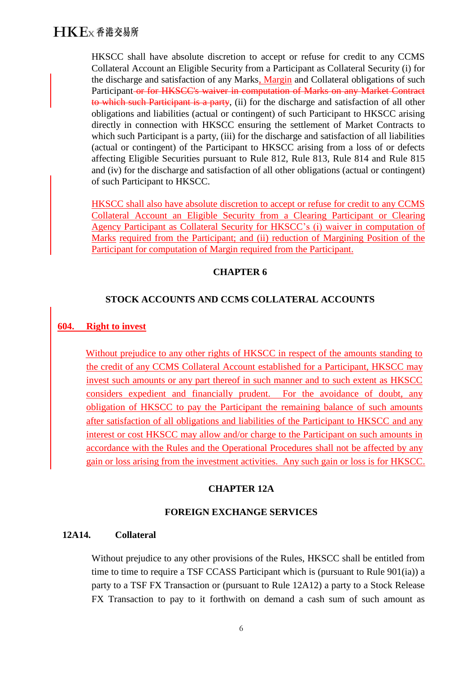# $H$ K $F$ <sub>x</sub> 香港交易所

HKSCC shall have absolute discretion to accept or refuse for credit to any CCMS Collateral Account an Eligible Security from a Participant as Collateral Security (i) for the discharge and satisfaction of any Marks, Margin and Collateral obligations of such Participant or for HKSCC's waiver in computation of Marks on any Market Contract to which such Participant is a party, (ii) for the discharge and satisfaction of all other obligations and liabilities (actual or contingent) of such Participant to HKSCC arising directly in connection with HKSCC ensuring the settlement of Market Contracts to which such Participant is a party, (iii) for the discharge and satisfaction of all liabilities (actual or contingent) of the Participant to HKSCC arising from a loss of or defects affecting Eligible Securities pursuant to Rule 812, Rule 813, Rule 814 and Rule 815 and (iv) for the discharge and satisfaction of all other obligations (actual or contingent) of such Participant to HKSCC.

HKSCC shall also have absolute discretion to accept or refuse for credit to any CCMS Collateral Account an Eligible Security from a Clearing Participant or Clearing Agency Participant as Collateral Security for HKSCC's (i) waiver in computation of Marks required from the Participant; and (ii) reduction of Margining Position of the Participant for computation of Margin required from the Participant.

### **CHAPTER 6**

#### **STOCK ACCOUNTS AND CCMS COLLATERAL ACCOUNTS**

#### **604. Right to invest**

Without prejudice to any other rights of HKSCC in respect of the amounts standing to the credit of any CCMS Collateral Account established for a Participant, HKSCC may invest such amounts or any part thereof in such manner and to such extent as HKSCC considers expedient and financially prudent. For the avoidance of doubt, any obligation of HKSCC to pay the Participant the remaining balance of such amounts after satisfaction of all obligations and liabilities of the Participant to HKSCC and any interest or cost HKSCC may allow and/or charge to the Participant on such amounts in accordance with the Rules and the Operational Procedures shall not be affected by any gain or loss arising from the investment activities. Any such gain or loss is for HKSCC.

#### **CHAPTER 12A**

#### **FOREIGN EXCHANGE SERVICES**

#### **12A14. Collateral**

Without prejudice to any other provisions of the Rules, HKSCC shall be entitled from time to time to require a TSF CCASS Participant which is (pursuant to Rule 901(ia)) a party to a TSF FX Transaction or (pursuant to Rule 12A12) a party to a Stock Release FX Transaction to pay to it forthwith on demand a cash sum of such amount as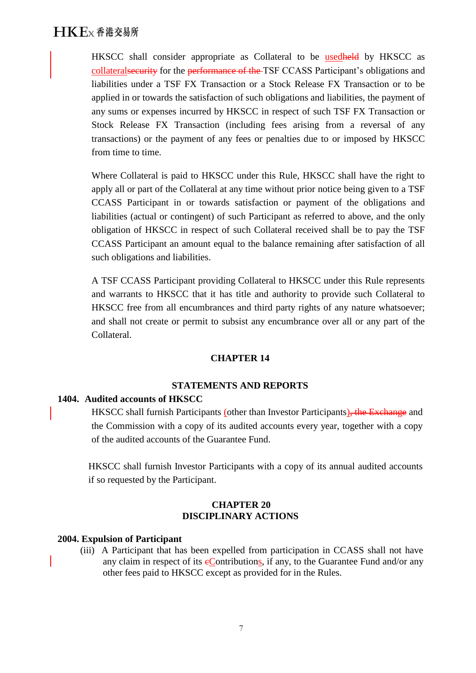HKSCC shall consider appropriate as Collateral to be usedheld by HKSCC as collateralsecurity for the performance of the TSF CCASS Participant's obligations and liabilities under a TSF FX Transaction or a Stock Release FX Transaction or to be applied in or towards the satisfaction of such obligations and liabilities, the payment of any sums or expenses incurred by HKSCC in respect of such TSF FX Transaction or Stock Release FX Transaction (including fees arising from a reversal of any transactions) or the payment of any fees or penalties due to or imposed by HKSCC from time to time.

Where Collateral is paid to HKSCC under this Rule, HKSCC shall have the right to apply all or part of the Collateral at any time without prior notice being given to a TSF CCASS Participant in or towards satisfaction or payment of the obligations and liabilities (actual or contingent) of such Participant as referred to above, and the only obligation of HKSCC in respect of such Collateral received shall be to pay the TSF CCASS Participant an amount equal to the balance remaining after satisfaction of all such obligations and liabilities.

A TSF CCASS Participant providing Collateral to HKSCC under this Rule represents and warrants to HKSCC that it has title and authority to provide such Collateral to HKSCC free from all encumbrances and third party rights of any nature whatsoever; and shall not create or permit to subsist any encumbrance over all or any part of the Collateral.

#### **CHAPTER 14**

#### **STATEMENTS AND REPORTS**

#### **1404. Audited accounts of HKSCC**

HKSCC shall furnish Participants (other than Investor Participants), the Exchange and the Commission with a copy of its audited accounts every year, together with a copy of the audited accounts of the Guarantee Fund.

HKSCC shall furnish Investor Participants with a copy of its annual audited accounts if so requested by the Participant.

#### **CHAPTER 20 DISCIPLINARY ACTIONS**

#### **2004. Expulsion of Participant**

(iii) A Participant that has been expelled from participation in CCASS shall not have any claim in respect of its  $e$ Contributions, if any, to the Guarantee Fund and/or any other fees paid to HKSCC except as provided for in the Rules.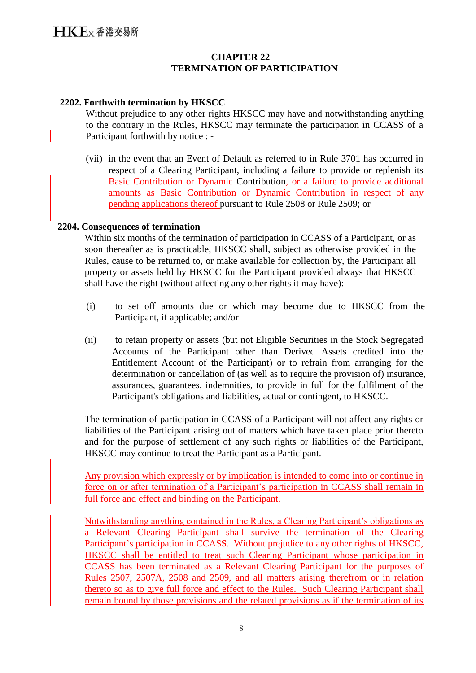#### **CHAPTER 22 TERMINATION OF PARTICIPATION**

#### **2202. Forthwith termination by HKSCC**

Without prejudice to any other rights HKSCC may have and notwithstanding anything to the contrary in the Rules, HKSCC may terminate the participation in CCASS of a Participant forthwith by notice :-

(vii) in the event that an Event of Default as referred to in Rule 3701 has occurred in respect of a Clearing Participant, including a failure to provide or replenish its Basic Contribution or Dynamic Contribution, or a failure to provide additional amounts as Basic Contribution or Dynamic Contribution in respect of any pending applications thereof pursuant to Rule 2508 or Rule 2509; or

#### **2204. Consequences of termination**

Within six months of the termination of participation in CCASS of a Participant, or as soon thereafter as is practicable, HKSCC shall, subject as otherwise provided in the Rules, cause to be returned to, or make available for collection by, the Participant all property or assets held by HKSCC for the Participant provided always that HKSCC shall have the right (without affecting any other rights it may have):-

- (i) to set off amounts due or which may become due to HKSCC from the Participant, if applicable; and/or
- (ii) to retain property or assets (but not Eligible Securities in the Stock Segregated Accounts of the Participant other than Derived Assets credited into the Entitlement Account of the Participant) or to refrain from arranging for the determination or cancellation of (as well as to require the provision of) insurance, assurances, guarantees, indemnities, to provide in full for the fulfilment of the Participant's obligations and liabilities, actual or contingent, to HKSCC.

The termination of participation in CCASS of a Participant will not affect any rights or liabilities of the Participant arising out of matters which have taken place prior thereto and for the purpose of settlement of any such rights or liabilities of the Participant, HKSCC may continue to treat the Participant as a Participant.

Any provision which expressly or by implication is intended to come into or continue in force on or after termination of a Participant's participation in CCASS shall remain in full force and effect and binding on the Participant.

Notwithstanding anything contained in the Rules, a Clearing Participant's obligations as a Relevant Clearing Participant shall survive the termination of the Clearing Participant's participation in CCASS. Without prejudice to any other rights of HKSCC, HKSCC shall be entitled to treat such Clearing Participant whose participation in CCASS has been terminated as a Relevant Clearing Participant for the purposes of Rules 2507, 2507A, 2508 and 2509, and all matters arising therefrom or in relation thereto so as to give full force and effect to the Rules. Such Clearing Participant shall remain bound by those provisions and the related provisions as if the termination of its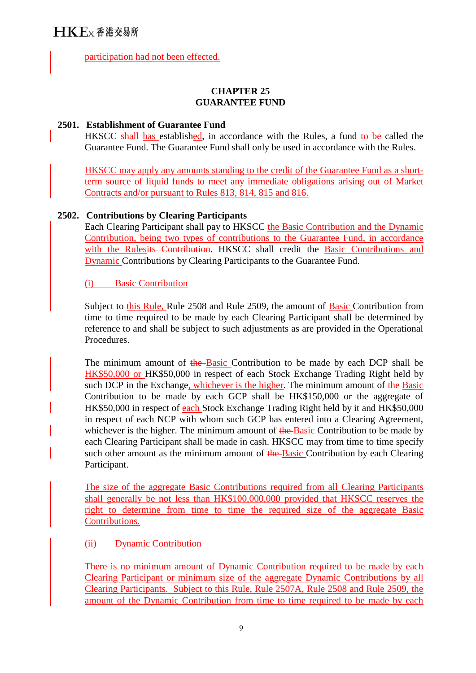# $H$ K $F$ <sub>x</sub> 香港交易所

participation had not been effected.

### **CHAPTER 25 GUARANTEE FUND**

#### **2501. Establishment of Guarantee Fund**

HKSCC shall has established, in accordance with the Rules, a fund to be called the Guarantee Fund. The Guarantee Fund shall only be used in accordance with the Rules.

HKSCC may apply any amounts standing to the credit of the Guarantee Fund as a shortterm source of liquid funds to meet any immediate obligations arising out of Market Contracts and/or pursuant to Rules 813, 814, 815 and 816.

### **2502. Contributions by Clearing Participants**

Each Clearing Participant shall pay to HKSCC the Basic Contribution and the Dynamic Contribution, being two types of contributions to the Guarantee Fund, in accordance with the Rulesits Contribution. HKSCC shall credit the Basic Contributions and Dynamic Contributions by Clearing Participants to the Guarantee Fund.

### (i) Basic Contribution

Subject to this Rule, Rule 2508 and Rule 2509, the amount of Basic Contribution from time to time required to be made by each Clearing Participant shall be determined by reference to and shall be subject to such adjustments as are provided in the Operational Procedures.

The minimum amount of the Basic Contribution to be made by each DCP shall be HK\$50,000 or HK\$50,000 in respect of each Stock Exchange Trading Right held by such DCP in the Exchange, whichever is the higher. The minimum amount of the Basic Contribution to be made by each GCP shall be HK\$150,000 or the aggregate of HK\$50,000 in respect of each Stock Exchange Trading Right held by it and HK\$50,000 in respect of each NCP with whom such GCP has entered into a Clearing Agreement, whichever is the higher. The minimum amount of the Basic Contribution to be made by each Clearing Participant shall be made in cash. HKSCC may from time to time specify such other amount as the minimum amount of the Basic Contribution by each Clearing Participant.

The size of the aggregate Basic Contributions required from all Clearing Participants shall generally be not less than HK\$100,000,000 provided that HKSCC reserves the right to determine from time to time the required size of the aggregate Basic Contributions.

(ii) Dynamic Contribution

There is no minimum amount of Dynamic Contribution required to be made by each Clearing Participant or minimum size of the aggregate Dynamic Contributions by all Clearing Participants. Subject to this Rule, Rule 2507A, Rule 2508 and Rule 2509, the amount of the Dynamic Contribution from time to time required to be made by each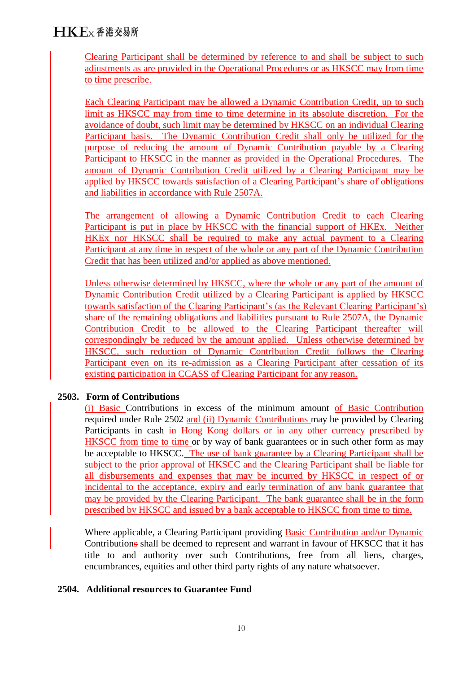Clearing Participant shall be determined by reference to and shall be subject to such adjustments as are provided in the Operational Procedures or as HKSCC may from time to time prescribe.

Each Clearing Participant may be allowed a Dynamic Contribution Credit, up to such limit as HKSCC may from time to time determine in its absolute discretion. For the avoidance of doubt, such limit may be determined by HKSCC on an individual Clearing Participant basis. The Dynamic Contribution Credit shall only be utilized for the purpose of reducing the amount of Dynamic Contribution payable by a Clearing Participant to HKSCC in the manner as provided in the Operational Procedures. The amount of Dynamic Contribution Credit utilized by a Clearing Participant may be applied by HKSCC towards satisfaction of a Clearing Participant's share of obligations and liabilities in accordance with Rule 2507A.

The arrangement of allowing a Dynamic Contribution Credit to each Clearing Participant is put in place by HKSCC with the financial support of HKEx. Neither HKEx nor HKSCC shall be required to make any actual payment to a Clearing Participant at any time in respect of the whole or any part of the Dynamic Contribution Credit that has been utilized and/or applied as above mentioned.

Unless otherwise determined by HKSCC, where the whole or any part of the amount of Dynamic Contribution Credit utilized by a Clearing Participant is applied by HKSCC towards satisfaction of the Clearing Participant's (as the Relevant Clearing Participant's) share of the remaining obligations and liabilities pursuant to Rule 2507A, the Dynamic Contribution Credit to be allowed to the Clearing Participant thereafter will correspondingly be reduced by the amount applied. Unless otherwise determined by HKSCC, such reduction of Dynamic Contribution Credit follows the Clearing Participant even on its re-admission as a Clearing Participant after cessation of its existing participation in CCASS of Clearing Participant for any reason.

# **2503. Form of Contributions**

(i) Basic Contributions in excess of the minimum amount of Basic Contribution required under Rule 2502 and (ii) Dynamic Contributions may be provided by Clearing Participants in cash in Hong Kong dollars or in any other currency prescribed by HKSCC from time to time or by way of bank guarantees or in such other form as may be acceptable to HKSCC. The use of bank guarantee by a Clearing Participant shall be subject to the prior approval of HKSCC and the Clearing Participant shall be liable for all disbursements and expenses that may be incurred by HKSCC in respect of or incidental to the acceptance, expiry and early termination of any bank guarantee that may be provided by the Clearing Participant. The bank guarantee shall be in the form prescribed by HKSCC and issued by a bank acceptable to HKSCC from time to time.

Where applicable, a Clearing Participant providing **Basic Contribution and/or Dynamic** Contributions shall be deemed to represent and warrant in favour of HKSCC that it has title to and authority over such Contributions, free from all liens, charges, encumbrances, equities and other third party rights of any nature whatsoever.

### **2504. Additional resources to Guarantee Fund**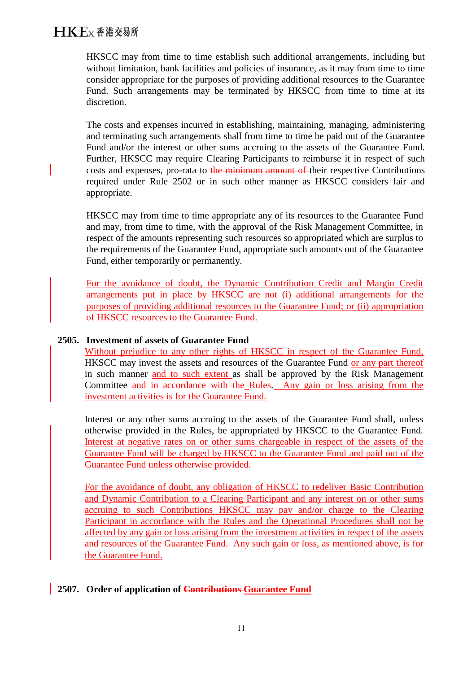HKSCC may from time to time establish such additional arrangements, including but without limitation, bank facilities and policies of insurance, as it may from time to time consider appropriate for the purposes of providing additional resources to the Guarantee Fund. Such arrangements may be terminated by HKSCC from time to time at its discretion.

The costs and expenses incurred in establishing, maintaining, managing, administering and terminating such arrangements shall from time to time be paid out of the Guarantee Fund and/or the interest or other sums accruing to the assets of the Guarantee Fund. Further, HKSCC may require Clearing Participants to reimburse it in respect of such costs and expenses, pro-rata to the minimum amount of their respective Contributions required under Rule 2502 or in such other manner as HKSCC considers fair and appropriate.

HKSCC may from time to time appropriate any of its resources to the Guarantee Fund and may, from time to time, with the approval of the Risk Management Committee, in respect of the amounts representing such resources so appropriated which are surplus to the requirements of the Guarantee Fund, appropriate such amounts out of the Guarantee Fund, either temporarily or permanently.

For the avoidance of doubt, the Dynamic Contribution Credit and Margin Credit arrangements put in place by HKSCC are not (i) additional arrangements for the purposes of providing additional resources to the Guarantee Fund; or (ii) appropriation of HKSCC resources to the Guarantee Fund.

#### **2505. Investment of assets of Guarantee Fund**

Without prejudice to any other rights of HKSCC in respect of the Guarantee Fund, HKSCC may invest the assets and resources of the Guarantee Fund or any part thereof in such manner and to such extent as shall be approved by the Risk Management Committee<del> and in accordance with the Rules</del>. Any gain or loss arising from the investment activities is for the Guarantee Fund.

Interest or any other sums accruing to the assets of the Guarantee Fund shall, unless otherwise provided in the Rules, be appropriated by HKSCC to the Guarantee Fund. Interest at negative rates on or other sums chargeable in respect of the assets of the Guarantee Fund will be charged by HKSCC to the Guarantee Fund and paid out of the Guarantee Fund unless otherwise provided.

For the avoidance of doubt, any obligation of HKSCC to redeliver Basic Contribution and Dynamic Contribution to a Clearing Participant and any interest on or other sums accruing to such Contributions HKSCC may pay and/or charge to the Clearing Participant in accordance with the Rules and the Operational Procedures shall not be affected by any gain or loss arising from the investment activities in respect of the assets and resources of the Guarantee Fund. Any such gain or loss, as mentioned above, is for the Guarantee Fund.

### **2507. Order of application of Contributions Guarantee Fund**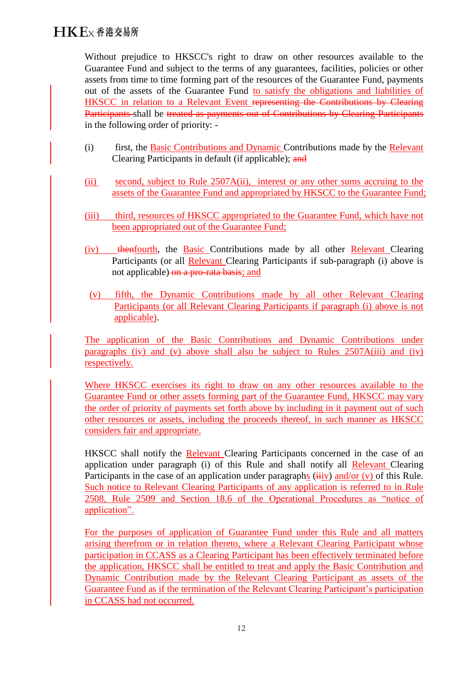Without prejudice to HKSCC's right to draw on other resources available to the Guarantee Fund and subject to the terms of any guarantees, facilities, policies or other assets from time to time forming part of the resources of the Guarantee Fund, payments out of the assets of the Guarantee Fund to satisfy the obligations and liabilities of HKSCC in relation to a Relevant Event representing the Contributions by Clearing Participants shall be treated as payments out of Contributions by Clearing Participants in the following order of priority: -

- (i) first, the Basic Contributions and Dynamic Contributions made by the Relevant Clearing Participants in default (if applicable); and
- (ii) second, subject to Rule 2507A(ii), interest or any other sums accruing to the assets of the Guarantee Fund and appropriated by HKSCC to the Guarantee Fund;
- (iii) third, resources of HKSCC appropriated to the Guarantee Fund, which have not been appropriated out of the Guarantee Fund;
- (iv) thenfourth, the Basic Contributions made by all other Relevant Clearing Participants (or all Relevant Clearing Participants if sub-paragraph (i) above is not applicable) on a pro-rata basis; and
- (v) fifth, the Dynamic Contributions made by all other Relevant Clearing Participants (or all Relevant Clearing Participants if paragraph (i) above is not applicable).

The application of the Basic Contributions and Dynamic Contributions under paragraphs (iv) and (v) above shall also be subject to Rules 2507A(iii) and (iv) respectively.

Where HKSCC exercises its right to draw on any other resources available to the Guarantee Fund or other assets forming part of the Guarantee Fund, HKSCC may vary the order of priority of payments set forth above by including in it payment out of such other resources or assets, including the proceeds thereof, in such manner as HKSCC considers fair and appropriate.

HKSCC shall notify the Relevant Clearing Participants concerned in the case of an application under paragraph (i) of this Rule and shall notify all Relevant Clearing Participants in the case of an application under paragraphs  $(iiiv)$  and/or  $(v)$  of this Rule. Such notice to Relevant Clearing Participants of any application is referred to in Rule 2508, Rule 2509 and Section 18.6 of the Operational Procedures as "notice of application".

For the purposes of application of Guarantee Fund under this Rule and all matters arising therefrom or in relation thereto, where a Relevant Clearing Participant whose participation in CCASS as a Clearing Participant has been effectively terminated before the application, HKSCC shall be entitled to treat and apply the Basic Contribution and Dynamic Contribution made by the Relevant Clearing Participant as assets of the Guarantee Fund as if the termination of the Relevant Clearing Participant's participation in CCASS had not occurred.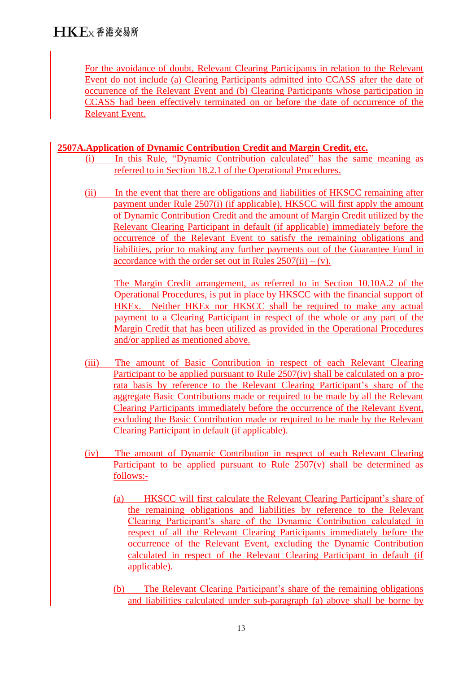For the avoidance of doubt, Relevant Clearing Participants in relation to the Relevant Event do not include (a) Clearing Participants admitted into CCASS after the date of occurrence of the Relevant Event and (b) Clearing Participants whose participation in CCASS had been effectively terminated on or before the date of occurrence of the Relevant Event.

### **2507A.Application of Dynamic Contribution Credit and Margin Credit, etc.**

- (i) In this Rule, "Dynamic Contribution calculated" has the same meaning as referred to in Section 18.2.1 of the Operational Procedures.
- (ii) In the event that there are obligations and liabilities of HKSCC remaining after payment under Rule 2507(i) (if applicable), HKSCC will first apply the amount of Dynamic Contribution Credit and the amount of Margin Credit utilized by the Relevant Clearing Participant in default (if applicable) immediately before the occurrence of the Relevant Event to satisfy the remaining obligations and liabilities, prior to making any further payments out of the Guarantee Fund in accordance with the order set out in Rules  $2507(ii) - (v)$ .

The Margin Credit arrangement, as referred to in Section 10.10A.2 of the Operational Procedures, is put in place by HKSCC with the financial support of HKEx. Neither HKEx nor HKSCC shall be required to make any actual payment to a Clearing Participant in respect of the whole or any part of the Margin Credit that has been utilized as provided in the Operational Procedures and/or applied as mentioned above.

- (iii) The amount of Basic Contribution in respect of each Relevant Clearing Participant to be applied pursuant to Rule 2507(iv) shall be calculated on a prorata basis by reference to the Relevant Clearing Participant's share of the aggregate Basic Contributions made or required to be made by all the Relevant Clearing Participants immediately before the occurrence of the Relevant Event, excluding the Basic Contribution made or required to be made by the Relevant Clearing Participant in default (if applicable).
- (iv) The amount of Dynamic Contribution in respect of each Relevant Clearing Participant to be applied pursuant to Rule 2507(v) shall be determined as follows:-
	- (a) HKSCC will first calculate the Relevant Clearing Participant's share of the remaining obligations and liabilities by reference to the Relevant Clearing Participant's share of the Dynamic Contribution calculated in respect of all the Relevant Clearing Participants immediately before the occurrence of the Relevant Event, excluding the Dynamic Contribution calculated in respect of the Relevant Clearing Participant in default (if applicable).
	- (b) The Relevant Clearing Participant's share of the remaining obligations and liabilities calculated under sub-paragraph (a) above shall be borne by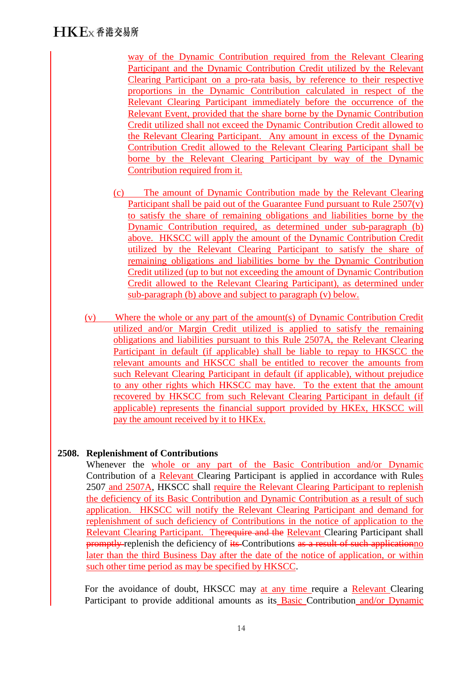way of the Dynamic Contribution required from the Relevant Clearing Participant and the Dynamic Contribution Credit utilized by the Relevant Clearing Participant on a pro-rata basis, by reference to their respective proportions in the Dynamic Contribution calculated in respect of the Relevant Clearing Participant immediately before the occurrence of the Relevant Event, provided that the share borne by the Dynamic Contribution Credit utilized shall not exceed the Dynamic Contribution Credit allowed to the Relevant Clearing Participant. Any amount in excess of the Dynamic Contribution Credit allowed to the Relevant Clearing Participant shall be borne by the Relevant Clearing Participant by way of the Dynamic Contribution required from it.

- (c) The amount of Dynamic Contribution made by the Relevant Clearing Participant shall be paid out of the Guarantee Fund pursuant to Rule 2507(v) to satisfy the share of remaining obligations and liabilities borne by the Dynamic Contribution required, as determined under sub-paragraph (b) above. HKSCC will apply the amount of the Dynamic Contribution Credit utilized by the Relevant Clearing Participant to satisfy the share of remaining obligations and liabilities borne by the Dynamic Contribution Credit utilized (up to but not exceeding the amount of Dynamic Contribution Credit allowed to the Relevant Clearing Participant), as determined under sub-paragraph (b) above and subject to paragraph (v) below.
- (v) Where the whole or any part of the amount(s) of Dynamic Contribution Credit utilized and/or Margin Credit utilized is applied to satisfy the remaining obligations and liabilities pursuant to this Rule 2507A, the Relevant Clearing Participant in default (if applicable) shall be liable to repay to HKSCC the relevant amounts and HKSCC shall be entitled to recover the amounts from such Relevant Clearing Participant in default (if applicable), without prejudice to any other rights which HKSCC may have. To the extent that the amount recovered by HKSCC from such Relevant Clearing Participant in default (if applicable) represents the financial support provided by HKEx, HKSCC will pay the amount received by it to HKEx.

### **2508. Replenishment of Contributions**

Whenever the whole or any part of the Basic Contribution and/or Dynamic Contribution of a Relevant Clearing Participant is applied in accordance with Rules 2507 and 2507A, HKSCC shall require the Relevant Clearing Participant to replenish the deficiency of its Basic Contribution and Dynamic Contribution as a result of such application. HKSCC will notify the Relevant Clearing Participant and demand for replenishment of such deficiency of Contributions in the notice of application to the Relevant Clearing Participant. Therequire and the Relevant Clearing Participant shall promptly-replenish the deficiency of its Contributions as a result of such applicationno later than the third Business Day after the date of the notice of application, or within such other time period as may be specified by HKSCC.

For the avoidance of doubt, HKSCC may at any time require a Relevant Clearing Participant to provide additional amounts as its Basic Contribution and/or Dynamic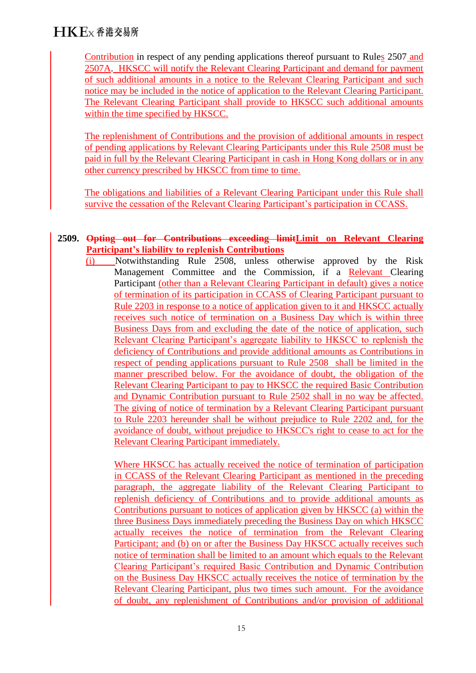Contribution in respect of any pending applications thereof pursuant to Rules 2507 and 2507A. HKSCC will notify the Relevant Clearing Participant and demand for payment of such additional amounts in a notice to the Relevant Clearing Participant and such notice may be included in the notice of application to the Relevant Clearing Participant. The Relevant Clearing Participant shall provide to HKSCC such additional amounts within the time specified by HKSCC.

The replenishment of Contributions and the provision of additional amounts in respect of pending applications by Relevant Clearing Participants under this Rule 2508 must be paid in full by the Relevant Clearing Participant in cash in Hong Kong dollars or in any other currency prescribed by HKSCC from time to time.

The obligations and liabilities of a Relevant Clearing Participant under this Rule shall survive the cessation of the Relevant Clearing Participant's participation in CCASS.

### **2509. Opting out for Contributions exceeding limitLimit on Relevant Clearing Participant's liability to replenish Contributions**

(i) Notwithstanding Rule 2508, unless otherwise approved by the Risk Management Committee and the Commission, if a Relevant Clearing Participant (other than a Relevant Clearing Participant in default) gives a notice of termination of its participation in CCASS of Clearing Participant pursuant to Rule 2203 in response to a notice of application given to it and HKSCC actually receives such notice of termination on a Business Day which is within three Business Days from and excluding the date of the notice of application, such Relevant Clearing Participant's aggregate liability to HKSCC to replenish the deficiency of Contributions and provide additional amounts as Contributions in respect of pending applications pursuant to Rule 2508 shall be limited in the manner prescribed below. For the avoidance of doubt, the obligation of the Relevant Clearing Participant to pay to HKSCC the required Basic Contribution and Dynamic Contribution pursuant to Rule 2502 shall in no way be affected. The giving of notice of termination by a Relevant Clearing Participant pursuant to Rule 2203 hereunder shall be without prejudice to Rule 2202 and, for the avoidance of doubt, without prejudice to HKSCC's right to cease to act for the Relevant Clearing Participant immediately.

Where HKSCC has actually received the notice of termination of participation in CCASS of the Relevant Clearing Participant as mentioned in the preceding paragraph, the aggregate liability of the Relevant Clearing Participant to replenish deficiency of Contributions and to provide additional amounts as Contributions pursuant to notices of application given by HKSCC (a) within the three Business Days immediately preceding the Business Day on which HKSCC actually receives the notice of termination from the Relevant Clearing Participant; and (b) on or after the Business Day HKSCC actually receives such notice of termination shall be limited to an amount which equals to the Relevant Clearing Participant's required Basic Contribution and Dynamic Contribution on the Business Day HKSCC actually receives the notice of termination by the Relevant Clearing Participant, plus two times such amount. For the avoidance of doubt, any replenishment of Contributions and/or provision of additional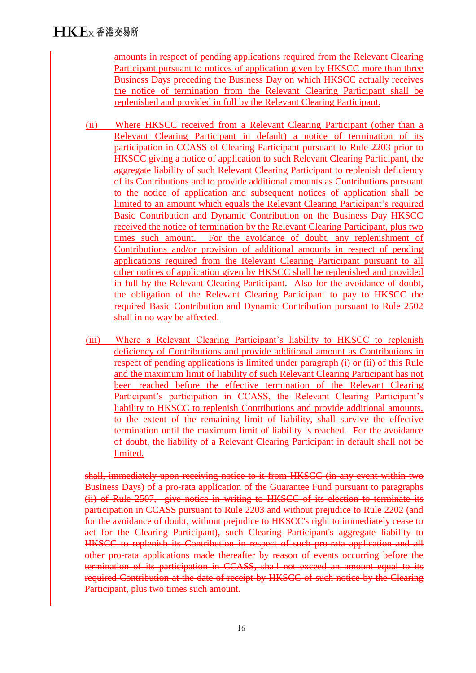amounts in respect of pending applications required from the Relevant Clearing Participant pursuant to notices of application given by HKSCC more than three Business Days preceding the Business Day on which HKSCC actually receives the notice of termination from the Relevant Clearing Participant shall be replenished and provided in full by the Relevant Clearing Participant.

- (ii) Where HKSCC received from a Relevant Clearing Participant (other than a Relevant Clearing Participant in default) a notice of termination of its participation in CCASS of Clearing Participant pursuant to Rule 2203 prior to HKSCC giving a notice of application to such Relevant Clearing Participant, the aggregate liability of such Relevant Clearing Participant to replenish deficiency of its Contributions and to provide additional amounts as Contributions pursuant to the notice of application and subsequent notices of application shall be limited to an amount which equals the Relevant Clearing Participant's required Basic Contribution and Dynamic Contribution on the Business Day HKSCC received the notice of termination by the Relevant Clearing Participant, plus two times such amount. For the avoidance of doubt, any replenishment of Contributions and/or provision of additional amounts in respect of pending applications required from the Relevant Clearing Participant pursuant to all other notices of application given by HKSCC shall be replenished and provided in full by the Relevant Clearing Participant. Also for the avoidance of doubt, the obligation of the Relevant Clearing Participant to pay to HKSCC the required Basic Contribution and Dynamic Contribution pursuant to Rule 2502 shall in no way be affected.
- (iii) Where a Relevant Clearing Participant's liability to HKSCC to replenish deficiency of Contributions and provide additional amount as Contributions in respect of pending applications is limited under paragraph (i) or (ii) of this Rule and the maximum limit of liability of such Relevant Clearing Participant has not been reached before the effective termination of the Relevant Clearing Participant's participation in CCASS, the Relevant Clearing Participant's liability to HKSCC to replenish Contributions and provide additional amounts, to the extent of the remaining limit of liability, shall survive the effective termination until the maximum limit of liability is reached. For the avoidance of doubt, the liability of a Relevant Clearing Participant in default shall not be limited.

shall, immediately upon receiving notice to it from HKSCC (in any event within two Business Days) of a pro-rata application of the Guarantee Fund pursuant to paragraphs (ii) of Rule 2507, give notice in writing to HKSCC of its election to terminate its participation in CCASS pursuant to Rule 2203 and without prejudice to Rule 2202 (and for the avoidance of doubt, without prejudice to HKSCC's right to immediately cease to act for the Clearing Participant), such Clearing Participant's aggregate liability to HKSCC to replenish its Contribution in respect of such pro-rata application and all other pro-rata applications made thereafter by reason of events occurring before the termination of its participation in CCASS, shall not exceed an amount equal to its required Contribution at the date of receipt by HKSCC of such notice by the Clearing Participant, plus two times such amount.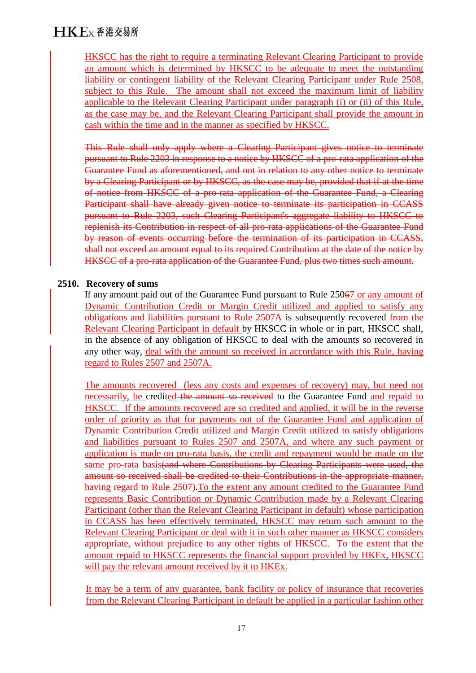HKSCC has the right to require a terminating Relevant Clearing Participant to provide an amount which is determined by HKSCC to be adequate to meet the outstanding liability or contingent liability of the Relevant Clearing Participant under Rule 2508, subject to this Rule. The amount shall not exceed the maximum limit of liability applicable to the Relevant Clearing Participant under paragraph (i) or (ii) of this Rule, as the case may be, and the Relevant Clearing Participant shall provide the amount in cash within the time and in the manner as specified by HKSCC.

This Rule shall only apply where a Clearing Participant gives notice to terminate pursuant to Rule 2203 in response to a notice by HKSCC of a pro-rata application of the Guarantee Fund as aforementioned, and not in relation to any other notice to terminate by a Clearing Participant or by HKSCC, as the case may be, provided that if at the time of notice from HKSCC of a pro-rata application of the Guarantee Fund, a Clearing Participant shall have already given notice to terminate its participation in CCASS pursuant to Rule 2203, such Clearing Participant's aggregate liability to HKSCC to replenish its Contribution in respect of all pro-rata applications of the Guarantee Fund by reason of events occurring before the termination of its participation in CCASS, shall not exceed an amount equal to its required Contribution at the date of the notice by HKSCC of a pro-rata application of the Guarantee Fund, plus two times such amount.

### **2510. Recovery of sums**

If any amount paid out of the Guarantee Fund pursuant to Rule 25067 or any amount of Dynamic Contribution Credit or Margin Credit utilized and applied to satisfy any obligations and liabilities pursuant to Rule 2507A is subsequently recovered from the Relevant Clearing Participant in default by HKSCC in whole or in part, HKSCC shall, in the absence of any obligation of HKSCC to deal with the amounts so recovered in any other way, deal with the amount so received in accordance with this Rule, having regard to Rules 2507 and 2507A.

The amounts recovered (less any costs and expenses of recovery) may, but need not necessarily, be credited the amount so received to the Guarantee Fund and repaid to HKSCC. If the amounts recovered are so credited and applied, it will be in the reverse order of priority as that for payments out of the Guarantee Fund and application of Dynamic Contribution Credit utilized and Margin Credit utilized to satisfy obligations and liabilities pursuant to Rules 2507 and 2507A, and where any such payment or application is made on pro-rata basis, the credit and repayment would be made on the same pro-rata basis<del>(and where Contributions by Clearing Participants were used, the</del> amount so received shall be credited to their Contributions in the appropriate manner, having regard to Rule 2507). To the extent any amount credited to the Guarantee Fund represents Basic Contribution or Dynamic Contribution made by a Relevant Clearing Participant (other than the Relevant Clearing Participant in default) whose participation in CCASS has been effectively terminated, HKSCC may return such amount to the Relevant Clearing Participant or deal with it in such other manner as HKSCC considers appropriate, without prejudice to any other rights of HKSCC. To the extent that the amount repaid to HKSCC represents the financial support provided by HKEx, HKSCC will pay the relevant amount received by it to HKEx.

It may be a term of any guarantee, bank facility or policy of insurance that recoveries from the Relevant Clearing Participant in default be applied in a particular fashion other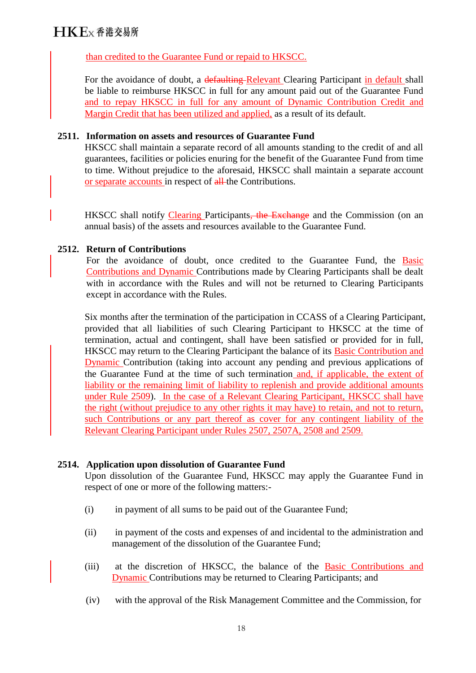### than credited to the Guarantee Fund or repaid to HKSCC.

For the avoidance of doubt, a defaulting-Relevant Clearing Participant in default shall be liable to reimburse HKSCC in full for any amount paid out of the Guarantee Fund and to repay HKSCC in full for any amount of Dynamic Contribution Credit and Margin Credit that has been utilized and applied, as a result of its default.

#### **2511. Information on assets and resources of Guarantee Fund**

HKSCC shall maintain a separate record of all amounts standing to the credit of and all guarantees, facilities or policies enuring for the benefit of the Guarantee Fund from time to time. Without prejudice to the aforesaid, HKSCC shall maintain a separate account or separate accounts in respect of all-the Contributions.

HKSCC shall notify Clearing Participants<del>, the Exchange</del> and the Commission (on an annual basis) of the assets and resources available to the Guarantee Fund.

### **2512. Return of Contributions**

For the avoidance of doubt, once credited to the Guarantee Fund, the Basic Contributions and Dynamic Contributions made by Clearing Participants shall be dealt with in accordance with the Rules and will not be returned to Clearing Participants except in accordance with the Rules.

Six months after the termination of the participation in CCASS of a Clearing Participant, provided that all liabilities of such Clearing Participant to HKSCC at the time of termination, actual and contingent, shall have been satisfied or provided for in full, HKSCC may return to the Clearing Participant the balance of its Basic Contribution and Dynamic Contribution (taking into account any pending and previous applications of the Guarantee Fund at the time of such termination and, if applicable, the extent of liability or the remaining limit of liability to replenish and provide additional amounts under Rule 2509). In the case of a Relevant Clearing Participant, HKSCC shall have the right (without prejudice to any other rights it may have) to retain, and not to return, such Contributions or any part thereof as cover for any contingent liability of the Relevant Clearing Participant under Rules 2507, 2507A, 2508 and 2509.

# **2514. Application upon dissolution of Guarantee Fund**

Upon dissolution of the Guarantee Fund, HKSCC may apply the Guarantee Fund in respect of one or more of the following matters:-

- (i) in payment of all sums to be paid out of the Guarantee Fund;
- (ii) in payment of the costs and expenses of and incidental to the administration and management of the dissolution of the Guarantee Fund;
- (iii) at the discretion of HKSCC, the balance of the Basic Contributions and Dynamic Contributions may be returned to Clearing Participants; and
- (iv) with the approval of the Risk Management Committee and the Commission, for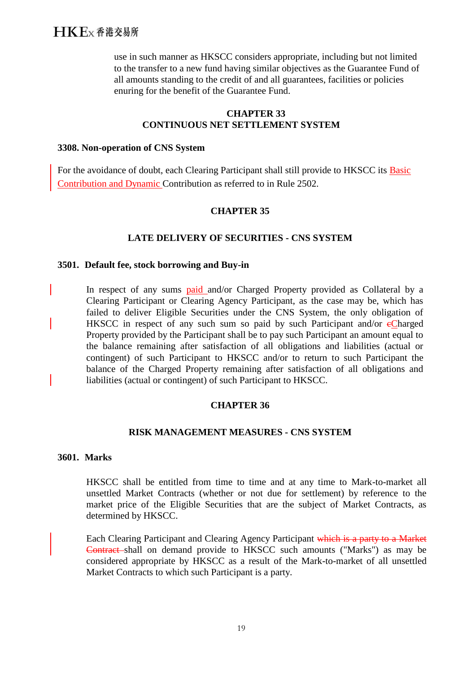# $H K E_X$   $\Phi$  港 交易所

use in such manner as HKSCC considers appropriate, including but not limited to the transfer to a new fund having similar objectives as the Guarantee Fund of all amounts standing to the credit of and all guarantees, facilities or policies enuring for the benefit of the Guarantee Fund.

#### **CHAPTER 33 CONTINUOUS NET SETTLEMENT SYSTEM**

#### **3308. Non-operation of CNS System**

For the avoidance of doubt, each Clearing Participant shall still provide to HKSCC its Basic Contribution and Dynamic Contribution as referred to in Rule 2502.

#### **CHAPTER 35**

#### **LATE DELIVERY OF SECURITIES - CNS SYSTEM**

#### **3501. Default fee, stock borrowing and Buy-in**

In respect of any sums **paid** and/or Charged Property provided as Collateral by a Clearing Participant or Clearing Agency Participant, as the case may be, which has failed to deliver Eligible Securities under the CNS System, the only obligation of HKSCC in respect of any such sum so paid by such Participant and/or eCharged Property provided by the Participant shall be to pay such Participant an amount equal to the balance remaining after satisfaction of all obligations and liabilities (actual or contingent) of such Participant to HKSCC and/or to return to such Participant the balance of the Charged Property remaining after satisfaction of all obligations and liabilities (actual or contingent) of such Participant to HKSCC.

#### **CHAPTER 36**

#### **RISK MANAGEMENT MEASURES - CNS SYSTEM**

#### **3601. Marks**

HKSCC shall be entitled from time to time and at any time to Mark-to-market all unsettled Market Contracts (whether or not due for settlement) by reference to the market price of the Eligible Securities that are the subject of Market Contracts, as determined by HKSCC.

Each Clearing Participant and Clearing Agency Participant which is a party to a Market Contract shall on demand provide to HKSCC such amounts ("Marks") as may be considered appropriate by HKSCC as a result of the Mark-to-market of all unsettled Market Contracts to which such Participant is a party.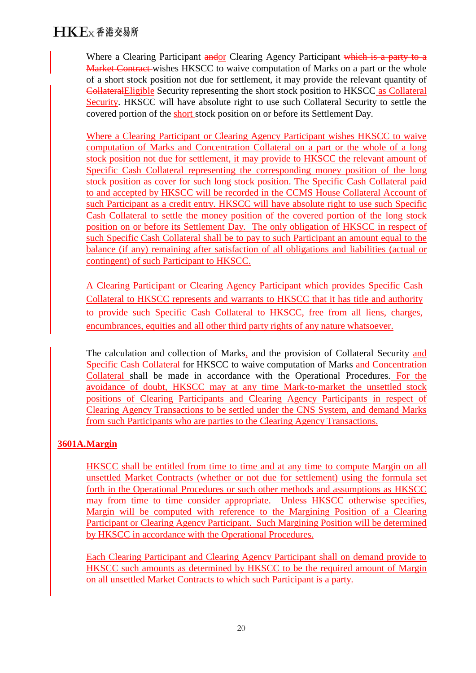Where a Clearing Participant and or Clearing Agency Participant which is a party to a Market Contract wishes HKSCC to waive computation of Marks on a part or the whole of a short stock position not due for settlement, it may provide the relevant quantity of CollateralEligible Security representing the short stock position to HKSCC as Collateral Security. HKSCC will have absolute right to use such Collateral Security to settle the covered portion of the short stock position on or before its Settlement Day.

Where a Clearing Participant or Clearing Agency Participant wishes HKSCC to waive computation of Marks and Concentration Collateral on a part or the whole of a long stock position not due for settlement, it may provide to HKSCC the relevant amount of Specific Cash Collateral representing the corresponding money position of the long stock position as cover for such long stock position. The Specific Cash Collateral paid to and accepted by HKSCC will be recorded in the CCMS House Collateral Account of such Participant as a credit entry. HKSCC will have absolute right to use such Specific Cash Collateral to settle the money position of the covered portion of the long stock position on or before its Settlement Day. The only obligation of HKSCC in respect of such Specific Cash Collateral shall be to pay to such Participant an amount equal to the balance (if any) remaining after satisfaction of all obligations and liabilities (actual or contingent) of such Participant to HKSCC.

A Clearing Participant or Clearing Agency Participant which provides Specific Cash Collateral to HKSCC represents and warrants to HKSCC that it has title and authority to provide such Specific Cash Collateral to HKSCC, free from all liens, charges, encumbrances, equities and all other third party rights of any nature whatsoever.

The calculation and collection of Marks, and the provision of Collateral Security and Specific Cash Collateral for HKSCC to waive computation of Marks and Concentration Collateral shall be made in accordance with the Operational Procedures. For the avoidance of doubt, HKSCC may at any time Mark-to-market the unsettled stock positions of Clearing Participants and Clearing Agency Participants in respect of Clearing Agency Transactions to be settled under the CNS System, and demand Marks from such Participants who are parties to the Clearing Agency Transactions.

# **3601A.Margin**

HKSCC shall be entitled from time to time and at any time to compute Margin on all unsettled Market Contracts (whether or not due for settlement) using the formula set forth in the Operational Procedures or such other methods and assumptions as HKSCC may from time to time consider appropriate. Unless HKSCC otherwise specifies, Margin will be computed with reference to the Margining Position of a Clearing Participant or Clearing Agency Participant. Such Margining Position will be determined by HKSCC in accordance with the Operational Procedures.

Each Clearing Participant and Clearing Agency Participant shall on demand provide to HKSCC such amounts as determined by HKSCC to be the required amount of Margin on all unsettled Market Contracts to which such Participant is a party.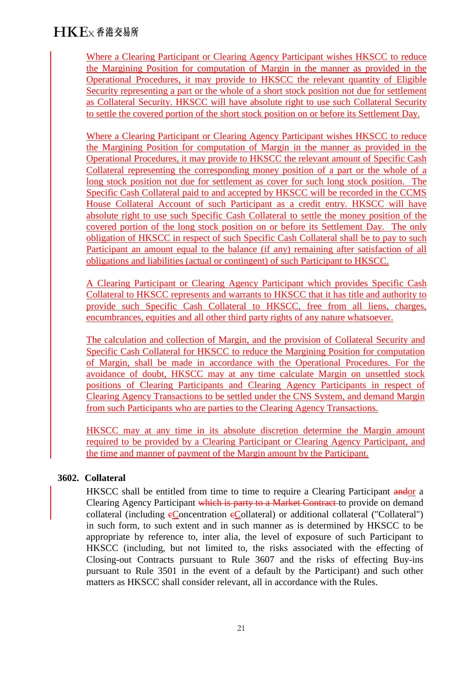Where a Clearing Participant or Clearing Agency Participant wishes HKSCC to reduce the Margining Position for computation of Margin in the manner as provided in the Operational Procedures, it may provide to HKSCC the relevant quantity of Eligible Security representing a part or the whole of a short stock position not due for settlement as Collateral Security. HKSCC will have absolute right to use such Collateral Security to settle the covered portion of the short stock position on or before its Settlement Day.

Where a Clearing Participant or Clearing Agency Participant wishes HKSCC to reduce the Margining Position for computation of Margin in the manner as provided in the Operational Procedures, it may provide to HKSCC the relevant amount of Specific Cash Collateral representing the corresponding money position of a part or the whole of a long stock position not due for settlement as cover for such long stock position. The Specific Cash Collateral paid to and accepted by HKSCC will be recorded in the CCMS House Collateral Account of such Participant as a credit entry. HKSCC will have absolute right to use such Specific Cash Collateral to settle the money position of the covered portion of the long stock position on or before its Settlement Day. The only obligation of HKSCC in respect of such Specific Cash Collateral shall be to pay to such Participant an amount equal to the balance (if any) remaining after satisfaction of all obligations and liabilities (actual or contingent) of such Participant to HKSCC.

A Clearing Participant or Clearing Agency Participant which provides Specific Cash Collateral to HKSCC represents and warrants to HKSCC that it has title and authority to provide such Specific Cash Collateral to HKSCC, free from all liens, charges, encumbrances, equities and all other third party rights of any nature whatsoever.

The calculation and collection of Margin, and the provision of Collateral Security and Specific Cash Collateral for HKSCC to reduce the Margining Position for computation of Margin, shall be made in accordance with the Operational Procedures. For the avoidance of doubt, HKSCC may at any time calculate Margin on unsettled stock positions of Clearing Participants and Clearing Agency Participants in respect of Clearing Agency Transactions to be settled under the CNS System, and demand Margin from such Participants who are parties to the Clearing Agency Transactions.

HKSCC may at any time in its absolute discretion determine the Margin amount required to be provided by a Clearing Participant or Clearing Agency Participant, and the time and manner of payment of the Margin amount by the Participant.

### **3602. Collateral**

HKSCC shall be entitled from time to time to require a Clearing Participant andor a Clearing Agency Participant which is party to a Market Contract to provide on demand collateral (including  $e$ Concentration  $e$ Collateral) or additional collateral ("Collateral") in such form, to such extent and in such manner as is determined by HKSCC to be appropriate by reference to, inter alia, the level of exposure of such Participant to HKSCC (including, but not limited to, the risks associated with the effecting of Closing-out Contracts pursuant to Rule 3607 and the risks of effecting Buy-ins pursuant to Rule 3501 in the event of a default by the Participant) and such other matters as HKSCC shall consider relevant, all in accordance with the Rules.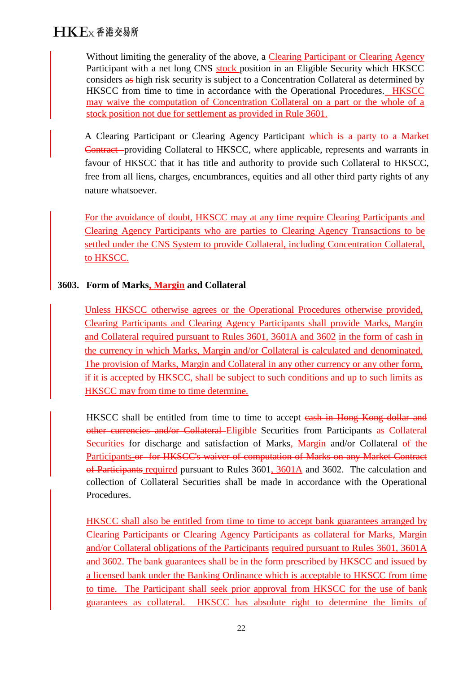Without limiting the generality of the above, a Clearing Participant or Clearing Agency Participant with a net long CNS stock position in an Eligible Security which HKSCC considers as high risk security is subject to a Concentration Collateral as determined by HKSCC from time to time in accordance with the Operational Procedures. HKSCC may waive the computation of Concentration Collateral on a part or the whole of a stock position not due for settlement as provided in Rule 3601.

A Clearing Participant or Clearing Agency Participant which is a party to a Market Contract providing Collateral to HKSCC, where applicable, represents and warrants in favour of HKSCC that it has title and authority to provide such Collateral to HKSCC, free from all liens, charges, encumbrances, equities and all other third party rights of any nature whatsoever.

For the avoidance of doubt, HKSCC may at any time require Clearing Participants and Clearing Agency Participants who are parties to Clearing Agency Transactions to be settled under the CNS System to provide Collateral, including Concentration Collateral, to HKSCC.

# **3603. Form of Marks, Margin and Collateral**

Unless HKSCC otherwise agrees or the Operational Procedures otherwise provided, Clearing Participants and Clearing Agency Participants shall provide Marks, Margin and Collateral required pursuant to Rules 3601, 3601A and 3602 in the form of cash in the currency in which Marks, Margin and/or Collateral is calculated and denominated. The provision of Marks, Margin and Collateral in any other currency or any other form, if it is accepted by HKSCC, shall be subject to such conditions and up to such limits as HKSCC may from time to time determine.

HKSCC shall be entitled from time to time to accept eash in Hong Kong dollar and other currencies and/or Collateral Eligible Securities from Participants as Collateral Securities for discharge and satisfaction of Marks, Margin and/or Collateral of the Participants or for HKSCC's waiver of computation of Marks on any Market Contract of Participants required pursuant to Rules 3601, 3601A and 3602. The calculation and collection of Collateral Securities shall be made in accordance with the Operational Procedures.

HKSCC shall also be entitled from time to time to accept bank guarantees arranged by Clearing Participants or Clearing Agency Participants as collateral for Marks, Margin and/or Collateral obligations of the Participants required pursuant to Rules 3601, 3601A and 3602. The bank guarantees shall be in the form prescribed by HKSCC and issued by a licensed bank under the Banking Ordinance which is acceptable to HKSCC from time to time. The Participant shall seek prior approval from HKSCC for the use of bank guarantees as collateral. HKSCC has absolute right to determine the limits of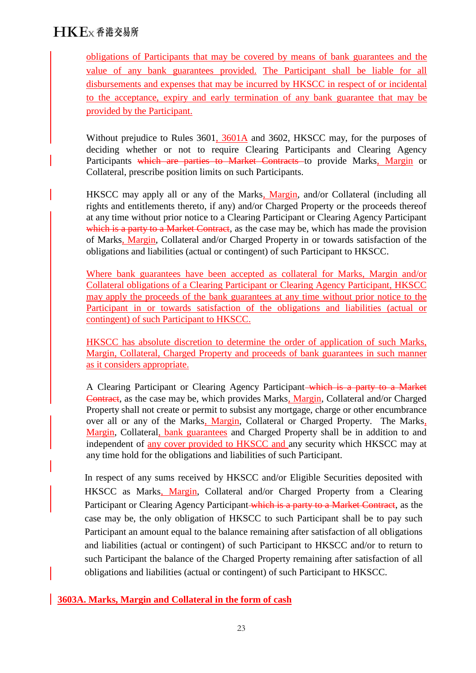obligations of Participants that may be covered by means of bank guarantees and the value of any bank guarantees provided. The Participant shall be liable for all disbursements and expenses that may be incurred by HKSCC in respect of or incidental to the acceptance, expiry and early termination of any bank guarantee that may be provided by the Participant.

Without prejudice to Rules 3601, 3601A and 3602, HKSCC may, for the purposes of deciding whether or not to require Clearing Participants and Clearing Agency Participants which are parties to Market Contracts to provide Marks, Margin or Collateral, prescribe position limits on such Participants.

HKSCC may apply all or any of the Marks, Margin, and/or Collateral (including all rights and entitlements thereto, if any) and/or Charged Property or the proceeds thereof at any time without prior notice to a Clearing Participant or Clearing Agency Participant which is a party to a Market Contract, as the case may be, which has made the provision of Marks, Margin, Collateral and/or Charged Property in or towards satisfaction of the obligations and liabilities (actual or contingent) of such Participant to HKSCC.

Where bank guarantees have been accepted as collateral for Marks, Margin and/or Collateral obligations of a Clearing Participant or Clearing Agency Participant, HKSCC may apply the proceeds of the bank guarantees at any time without prior notice to the Participant in or towards satisfaction of the obligations and liabilities (actual or contingent) of such Participant to HKSCC.

HKSCC has absolute discretion to determine the order of application of such Marks, Margin, Collateral, Charged Property and proceeds of bank guarantees in such manner as it considers appropriate.

A Clearing Participant or Clearing Agency Participant which is a party to a Market Contract, as the case may be, which provides Marks, Margin, Collateral and/or Charged Property shall not create or permit to subsist any mortgage, charge or other encumbrance over all or any of the Marks, Margin, Collateral or Charged Property. The Marks, Margin, Collateral, bank guarantees and Charged Property shall be in addition to and independent of any cover provided to HKSCC and any security which HKSCC may at any time hold for the obligations and liabilities of such Participant.

In respect of any sums received by HKSCC and/or Eligible Securities deposited with HKSCC as Marks, Margin, Collateral and/or Charged Property from a Clearing Participant or Clearing Agency Participant which is a party to a Market Contract, as the case may be, the only obligation of HKSCC to such Participant shall be to pay such Participant an amount equal to the balance remaining after satisfaction of all obligations and liabilities (actual or contingent) of such Participant to HKSCC and/or to return to such Participant the balance of the Charged Property remaining after satisfaction of all obligations and liabilities (actual or contingent) of such Participant to HKSCC.

**3603A. Marks, Margin and Collateral in the form of cash**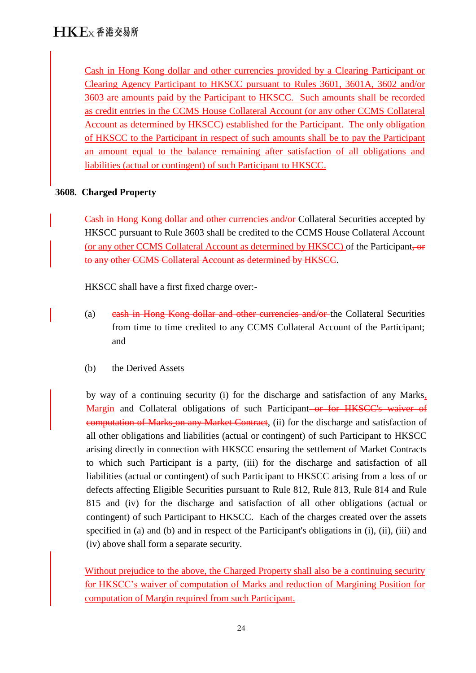Cash in Hong Kong dollar and other currencies provided by a Clearing Participant or Clearing Agency Participant to HKSCC pursuant to Rules 3601, 3601A, 3602 and/or 3603 are amounts paid by the Participant to HKSCC. Such amounts shall be recorded as credit entries in the CCMS House Collateral Account (or any other CCMS Collateral Account as determined by HKSCC) established for the Participant. The only obligation of HKSCC to the Participant in respect of such amounts shall be to pay the Participant an amount equal to the balance remaining after satisfaction of all obligations and liabilities (actual or contingent) of such Participant to HKSCC.

# **3608. Charged Property**

Cash in Hong Kong dollar and other currencies and/or Collateral Securities accepted by HKSCC pursuant to Rule 3603 shall be credited to the CCMS House Collateral Account (or any other CCMS Collateral Account as determined by HKSCC) of the Participant, or to any other CCMS Collateral Account as determined by HKSCC.

HKSCC shall have a first fixed charge over:-

- (a) eash in Hong Kong dollar and other currencies and/or the Collateral Securities from time to time credited to any CCMS Collateral Account of the Participant; and
- (b) the Derived Assets

by way of a continuing security (i) for the discharge and satisfaction of any Marks, Margin and Collateral obligations of such Participant–or for HKSCC's waiver of computation of Marks on any Market Contract, (ii) for the discharge and satisfaction of all other obligations and liabilities (actual or contingent) of such Participant to HKSCC arising directly in connection with HKSCC ensuring the settlement of Market Contracts to which such Participant is a party, (iii) for the discharge and satisfaction of all liabilities (actual or contingent) of such Participant to HKSCC arising from a loss of or defects affecting Eligible Securities pursuant to Rule 812, Rule 813, Rule 814 and Rule 815 and (iv) for the discharge and satisfaction of all other obligations (actual or contingent) of such Participant to HKSCC. Each of the charges created over the assets specified in (a) and (b) and in respect of the Participant's obligations in (i), (ii), (iii) and (iv) above shall form a separate security.

Without prejudice to the above, the Charged Property shall also be a continuing security for HKSCC's waiver of computation of Marks and reduction of Margining Position for computation of Margin required from such Participant.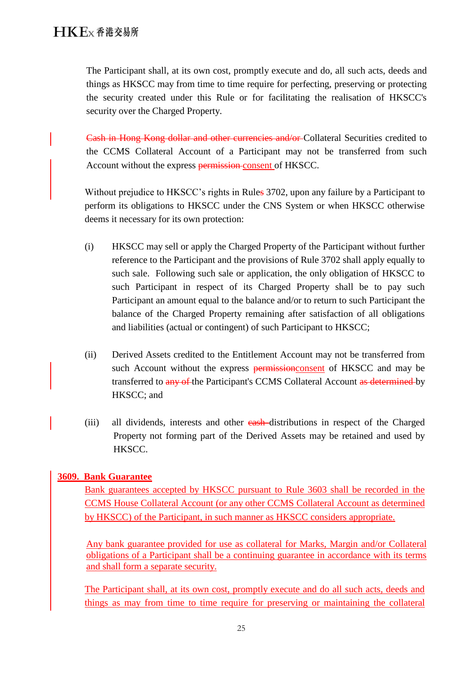The Participant shall, at its own cost, promptly execute and do, all such acts, deeds and things as HKSCC may from time to time require for perfecting, preserving or protecting the security created under this Rule or for facilitating the realisation of HKSCC's security over the Charged Property.

Cash in Hong Kong dollar and other currencies and/or Collateral Securities credited to the CCMS Collateral Account of a Participant may not be transferred from such Account without the express permission consent of HKSCC.

Without prejudice to HKSCC's rights in Rules 3702, upon any failure by a Participant to perform its obligations to HKSCC under the CNS System or when HKSCC otherwise deems it necessary for its own protection:

- (i) HKSCC may sell or apply the Charged Property of the Participant without further reference to the Participant and the provisions of Rule 3702 shall apply equally to such sale. Following such sale or application, the only obligation of HKSCC to such Participant in respect of its Charged Property shall be to pay such Participant an amount equal to the balance and/or to return to such Participant the balance of the Charged Property remaining after satisfaction of all obligations and liabilities (actual or contingent) of such Participant to HKSCC;
- (ii) Derived Assets credited to the Entitlement Account may not be transferred from such Account without the express permission consent of HKSCC and may be transferred to any of the Participant's CCMS Collateral Account as determined by HKSCC; and
- (iii) all dividends, interests and other **eash**-distributions in respect of the Charged Property not forming part of the Derived Assets may be retained and used by HKSCC.

# **3609. Bank Guarantee**

Bank guarantees accepted by HKSCC pursuant to Rule 3603 shall be recorded in the CCMS House Collateral Account (or any other CCMS Collateral Account as determined by HKSCC) of the Participant, in such manner as HKSCC considers appropriate.

Any bank guarantee provided for use as collateral for Marks, Margin and/or Collateral obligations of a Participant shall be a continuing guarantee in accordance with its terms and shall form a separate security.

The Participant shall, at its own cost, promptly execute and do all such acts, deeds and things as may from time to time require for preserving or maintaining the collateral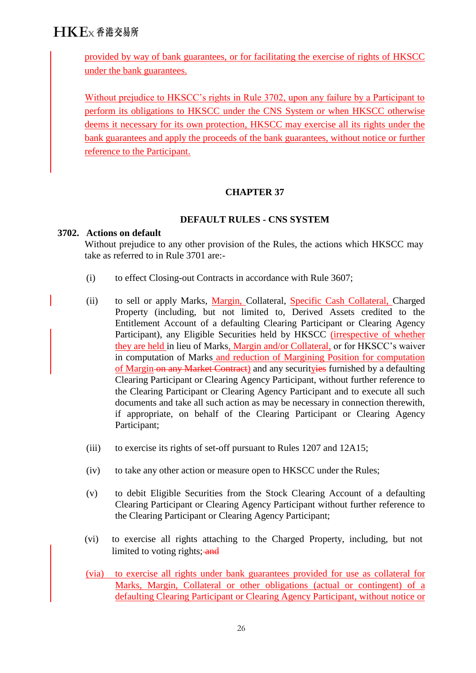# $H K E_X$   $\Phi$  港 交易所

provided by way of bank guarantees, or for facilitating the exercise of rights of HKSCC under the bank guarantees.

Without prejudice to HKSCC's rights in Rule 3702, upon any failure by a Participant to perform its obligations to HKSCC under the CNS System or when HKSCC otherwise deems it necessary for its own protection, HKSCC may exercise all its rights under the bank guarantees and apply the proceeds of the bank guarantees, without notice or further reference to the Participant.

### **CHAPTER 37**

#### **DEFAULT RULES - CNS SYSTEM**

#### **3702. Actions on default**

Without prejudice to any other provision of the Rules, the actions which HKSCC may take as referred to in Rule 3701 are:-

- (i) to effect Closing-out Contracts in accordance with Rule 3607;
- (ii) to sell or apply Marks, Margin, Collateral, Specific Cash Collateral, Charged Property (including, but not limited to, Derived Assets credited to the Entitlement Account of a defaulting Clearing Participant or Clearing Agency Participant), any Eligible Securities held by HKSCC (*irrespective of whether* they are held in lieu of Marks, Margin and/or Collateral, or for HKSCC's waiver in computation of Marks and reduction of Margining Position for computation of Margin on any Market Contract) and any securityies furnished by a defaulting Clearing Participant or Clearing Agency Participant, without further reference to the Clearing Participant or Clearing Agency Participant and to execute all such documents and take all such action as may be necessary in connection therewith, if appropriate, on behalf of the Clearing Participant or Clearing Agency Participant;
- (iii) to exercise its rights of set-off pursuant to Rules 1207 and 12A15;
- (iv) to take any other action or measure open to HKSCC under the Rules;
- (v) to debit Eligible Securities from the Stock Clearing Account of a defaulting Clearing Participant or Clearing Agency Participant without further reference to the Clearing Participant or Clearing Agency Participant;
- (vi) to exercise all rights attaching to the Charged Property, including, but not limited to voting rights; and
- (via) to exercise all rights under bank guarantees provided for use as collateral for Marks, Margin, Collateral or other obligations (actual or contingent) of a defaulting Clearing Participant or Clearing Agency Participant, without notice or